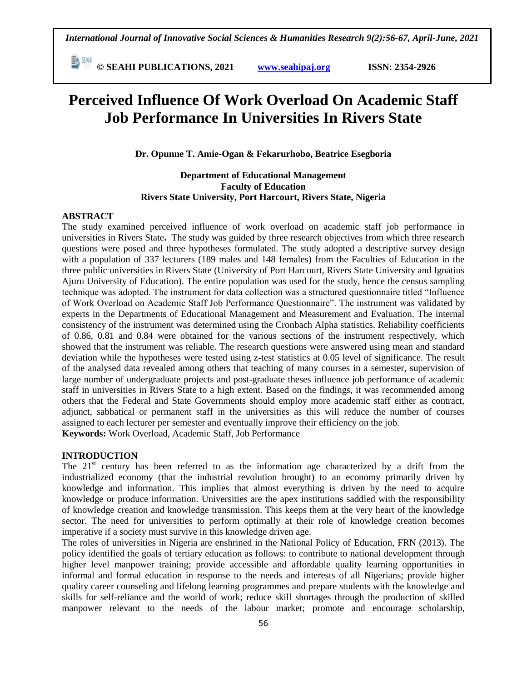**E**  $\frac{54}{30}$  **CM i i**s **C** SEAHI PUBLICATIONS, 2021 *www.seahipaj.org* **<b>issn:** 2354-2926

# **Perceived Influence Of Work Overload On Academic Staff Job Performance In Universities In Rivers State**

**Dr. Opunne T. Amie-Ogan & Fekarurhobo, Beatrice Esegboria**

# **Department of Educational Management Faculty of Education Rivers State University, Port Harcourt, Rivers State, Nigeria**

#### **ABSTRACT**

The study examined perceived influence of work overload on academic staff job performance in universities in Rivers State**.** The study was guided by three research objectives from which three research questions were posed and three hypotheses formulated. The study adopted a descriptive survey design with a population of 337 lecturers (189 males and 148 females) from the Faculties of Education in the three public universities in Rivers State (University of Port Harcourt, Rivers State University and Ignatius Ajuru University of Education). The entire population was used for the study, hence the census sampling technique was adopted. The instrument for data collection was a structured questionnaire titled "Influence of Work Overload on Academic Staff Job Performance Questionnaire". The instrument was validated by experts in the Departments of Educational Management and Measurement and Evaluation. The internal consistency of the instrument was determined using the Cronbach Alpha statistics. Reliability coefficients of 0.86, 0.81 and 0.84 were obtained for the various sections of the instrument respectively, which showed that the instrument was reliable. The research questions were answered using mean and standard deviation while the hypotheses were tested using z-test statistics at 0.05 level of significance. The result of the analysed data revealed among others that teaching of many courses in a semester, supervision of large number of undergraduate projects and post-graduate theses influence job performance of academic staff in universities in Rivers State to a high extent. Based on the findings, it was recommended among others that the Federal and State Governments should employ more academic staff either as contract, adjunct, sabbatical or permanent staff in the universities as this will reduce the number of courses assigned to each lecturer per semester and eventually improve their efficiency on the job. **Keywords:** Work Overload, Academic Staff, Job Performance

#### **INTRODUCTION**

The  $21<sup>st</sup>$  century has been referred to as the information age characterized by a drift from the industrialized economy (that the industrial revolution brought) to an economy primarily driven by knowledge and information. This implies that almost everything is driven by the need to acquire knowledge or produce information. Universities are the apex institutions saddled with the responsibility of knowledge creation and knowledge transmission. This keeps them at the very heart of the knowledge sector. The need for universities to perform optimally at their role of knowledge creation becomes imperative if a society must survive in this knowledge driven age.

The roles of universities in Nigeria are enshrined in the National Policy of Education, FRN (2013). The policy identified the goals of tertiary education as follows: to contribute to national development through higher level manpower training; provide accessible and affordable quality learning opportunities in informal and formal education in response to the needs and interests of all Nigerians; provide higher quality career counseling and lifelong learning programmes and prepare students with the knowledge and skills for self-reliance and the world of work; reduce skill shortages through the production of skilled manpower relevant to the needs of the labour market; promote and encourage scholarship,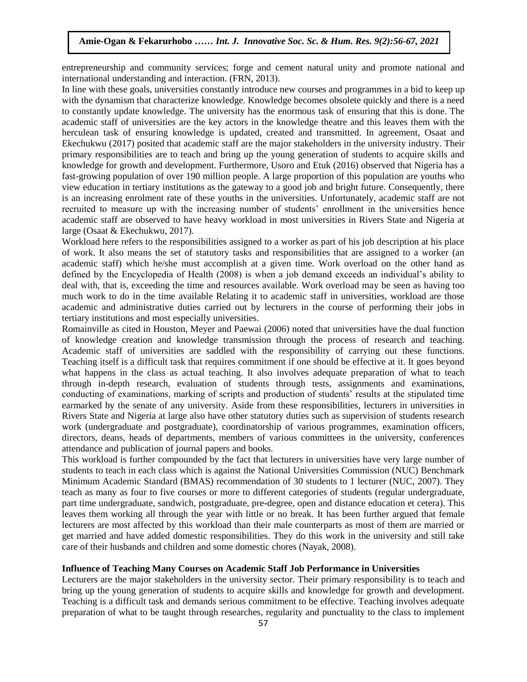entrepreneurship and community services; forge and cement natural unity and promote national and international understanding and interaction. (FRN, 2013).

In line with these goals, universities constantly introduce new courses and programmes in a bid to keep up with the dynamism that characterize knowledge. Knowledge becomes obsolete quickly and there is a need to constantly update knowledge. The university has the enormous task of ensuring that this is done. The academic staff of universities are the key actors in the knowledge theatre and this leaves them with the herculean task of ensuring knowledge is updated, created and transmitted. In agreement, Osaat and Arugu & Wosu …… Int. J. Innovative Soc. Sc. & Hum. Res. 8(1):1-11, 2020 Ekechukwu (2017) posited that academic staff are the major stakeholders in the university industry. Their primary responsibilities are to teach and bring up the young generation of students to acquire skills and knowledge for growth and development. Furthermore, Usoro and Etuk (2016) observed that Nigeria has a Fast-growing population of over 190 million people. A large proportion of this population are youths who has the state of the social control of the social control of the social control of the social control of this populat view education in tertiary institutions as the gateway to a good job and bright future. Consequently, there is an increasing enrolment rate of these youths in the universities. Unfortunately, academic staff are not recruited to measure up with the increasing number of students' enrollment in the universities hence academic staff are observed to have heavy workload in most universities in Rivers State and Nigeria at and  $\alpha$ large (Osaat & Ekechukwu, 2017).

Workload here refers to the responsibilities assigned to a worker as part of his job description at his place of work. It also means the set of statutory tasks and responsibilities that are assigned to a worker (an academic staff) which he/she must accomplish at a given time. Work overload on the other hand as defined by the Encyclopedia of Health (2008) is when a job demand exceeds an individual's ability to deal with, that is, exceeding the time and resources available. Work overload may be seen as having too much work to do in the time available Relating it to academic staff in universities, workload are those academic and administrative duties carried out by lecturers in the course of performing their jobs in tertiary institutions and most especially universities.

Romainville as cited in Houston, Meyer and Paewai (2006) noted that universities have the dual function of knowledge creation and knowledge transmission through the process of research and teaching. Academic staff of universities are saddled with the responsibility of carrying out these functions. Teaching itself is a difficult task that requires commitment if one should be effective at it. It goes beyond what happens in the class as actual teaching. It also involves adequate preparation of what to teach through in-depth research, evaluation of students through tests, assignments and examinations, conducting of examinations, marking of scripts and production of students' results at the stipulated time earmarked by the senate of any university. Aside from these responsibilities, lecturers in universities in Rivers State and Nigeria at large also have other statutory duties such as supervision of students research work (undergraduate and postgraduate), coordinatorship of various programmes, examination officers, directors, deans, heads of departments, members of various committees in the university, conferences attendance and publication of journal papers and books.

This workload is further compounded by the fact that lecturers in universities have very large number of students to teach in each class which is against the National Universities Commission (NUC) Benchmark Minimum Academic Standard (BMAS) recommendation of 30 students to 1 lecturer (NUC, 2007). They teach as many as four to five courses or more to different categories of students (regular undergraduate, part time undergraduate, sandwich, postgraduate, pre-degree, open and distance education et cetera). This leaves them working all through the year with little or no break. It has been further argued that female lecturers are most affected by this workload than their male counterparts as most of them are married or get married and have added domestic responsibilities. They do this work in the university and still take care of their husbands and children and some domestic chores (Nayak, 2008).

#### **Influence of Teaching Many Courses on Academic Staff Job Performance in Universities**

Lecturers are the major stakeholders in the university sector. Their primary responsibility is to teach and bring up the young generation of students to acquire skills and knowledge for growth and development. Teaching is a difficult task and demands serious commitment to be effective. Teaching involves adequate preparation of what to be taught through researches, regularity and punctuality to the class to implement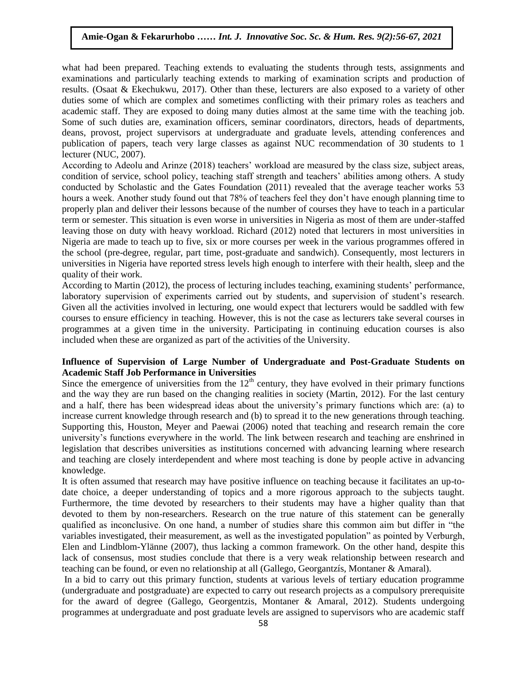what had been prepared. Teaching extends to evaluating the students through tests, assignments and examinations and particularly teaching extends to marking of examination scripts and production of results. (Osaat & Ekechukwu, 2017). Other than these, lecturers are also exposed to a variety of other duties some of which are complex and sometimes conflicting with their primary roles as teachers and academic staff. They are exposed to doing many duties almost at the same time with the teaching job. Some of such duties are, examination officers, seminar coordinators, directors, heads of departments, deans, provost, project supervisors at undergraduate and graduate levels, attending conferences and publication of papers, teach very large classes as against NUC recommendation of 30 students to 1 lecturer (NUC, 2007).

According to Adeolu and Arinze (2018) teachers' workload are measured by the class size, subject areas, condition of service, school policy, teaching staff strength and teachers' abilities among others. A study conducted by Scholastic and the Gates Foundation (2011) revealed that the average teacher works 53 hours a week. Another study found out that 78% of teachers feel they don't have enough planning time to properly plan and deliver their lessons because of the number of courses they have to teach in a particular term or semester. This situation is even worse in universities in Nigeria as most of them are under-staffed leaving those on duty with heavy workload. Richard (2012) noted that lecturers in most universities in Nigeria are made to teach up to five, six or more courses per week in the various programmes offered in the school (pre-degree, regular, part time, post-graduate and sandwich). Consequently, most lecturers in universities in Nigeria have reported stress levels high enough to interfere with their health, sleep and the quality of their work.

According to Martin (2012), the process of lecturing includes teaching, examining students' performance, laboratory supervision of experiments carried out by students, and supervision of student's research. Given all the activities involved in lecturing, one would expect that lecturers would be saddled with few courses to ensure efficiency in teaching. However, this is not the case as lecturers take several courses in programmes at a given time in the university. Participating in continuing education courses is also included when these are organized as part of the activities of the University.

# **Influence of Supervision of Large Number of Undergraduate and Post-Graduate Students on Academic Staff Job Performance in Universities**

Since the emergence of universities from the  $12<sup>th</sup>$  century, they have evolved in their primary functions and the way they are run based on the changing realities in society (Martin, 2012). For the last century and a half, there has been widespread ideas about the university's primary functions which are: (a) to increase current knowledge through research and (b) to spread it to the new generations through teaching. Supporting this, Houston, Meyer and Paewai (2006) noted that teaching and research remain the core university's functions everywhere in the world. The link between research and teaching are enshrined in legislation that describes universities as institutions concerned with advancing learning where research and teaching are closely interdependent and where most teaching is done by people active in advancing knowledge.

It is often assumed that research may have positive influence on teaching because it facilitates an up-todate choice, a deeper understanding of topics and a more rigorous approach to the subjects taught. Furthermore, the time devoted by researchers to their students may have a higher quality than that devoted to them by non-researchers. Research on the true nature of this statement can be generally qualified as inconclusive. On one hand, a number of studies share this common aim but differ in "the variables investigated, their measurement, as well as the investigated population" as pointed by Verburgh, Elen and Lindblom-Ylänne (2007), thus lacking a common framework. On the other hand, despite this lack of consensus, most studies conclude that there is a very weak relationship between research and teaching can be found, or even no relationship at all (Gallego, Georgantzís, Montaner & Amaral).

In a bid to carry out this primary function, students at various levels of tertiary education programme (undergraduate and postgraduate) are expected to carry out research projects as a compulsory prerequisite for the award of degree (Gallego, Georgentzis, Montaner & Amaral, 2012). Students undergoing programmes at undergraduate and post graduate levels are assigned to supervisors who are academic staff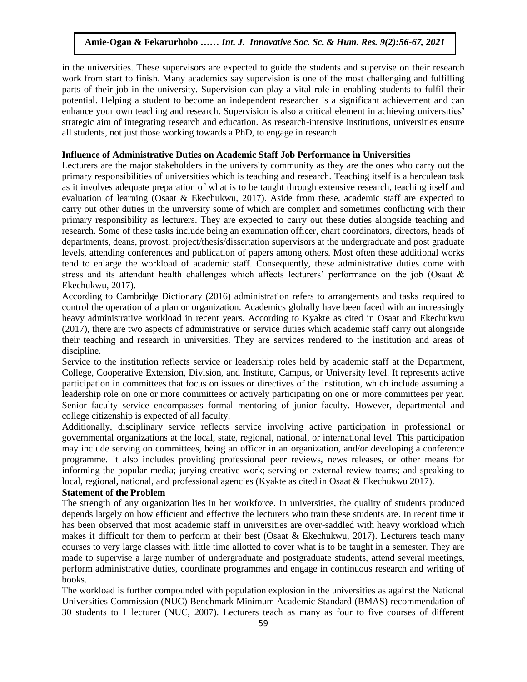in the universities. These supervisors are expected to guide the students and supervise on their research work from start to finish. Many academics say supervision is one of the most challenging and fulfilling parts of their job in the university. Supervision can play a vital role in enabling students to fulfil their potential. Helping a student to become an independent researcher is a significant achievement and can enhance your own teaching and research. Supervision is also a critical element in achieving universities' strategic aim of integrating research and education. As research-intensive institutions, universities ensure all students, not just those working towards a PhD, to engage in research.

#### **Influence of Administrative Duties on Academic Staff Job Performance in Universities**

Lecturers are the major stakeholders in the university community as they are the ones who carry out the primary responsibilities of universities which is teaching and research. Teaching itself is a herculean task as it involves adequate preparation of what is to be taught through extensive research, teaching itself and evaluation of learning (Osaat & Ekechukwu, 2017). Aside from these, academic staff are expected to carry out other duties in the university some of which are complex and sometimes conflicting with their primary responsibility as lecturers. They are expected to carry out these duties alongside teaching and research. Some of these tasks include being an examination officer, chart coordinators, directors, heads of departments, deans, provost, project/thesis/dissertation supervisors at the undergraduate and post graduate levels, attending conferences and publication of papers among others. Most often these additional works tend to enlarge the workload of academic staff. Consequently, these administrative duties come with stress and its attendant health challenges which affects lecturers' performance on the job (Osaat & Ekechukwu, 2017).

According to Cambridge Dictionary (2016) administration refers to arrangements and tasks required to control the operation of a plan or organization. Academics globally have been faced with an increasingly heavy administrative workload in recent years. According to Kyakte as cited in Osaat and Ekechukwu (2017), there are two aspects of administrative or service duties which academic staff carry out alongside their teaching and research in universities. They are services rendered to the institution and areas of discipline.  $\nu$ 

Service to the institution reflects service or leadership roles held by academic staff at the Department, College, Cooperative Extension, Division, and Institute, Campus, or University level. It represents active participation in committees that focus on issues or directives of the institution, which include assuming a leadership role on one or more committees or actively participating on one or more committees per year. Senior faculty service encompasses formal mentoring of junior faculty. However, departmental and college citizenship is expected of all faculty.

Additionally, disciplinary service reflects service involving active participation in professional or governmental organizations at the local, state, regional, national, or international level. This participation may include serving on committees, being an officer in an organization, and/or developing a conference programme. It also includes providing professional peer reviews, news releases, or other means for informing the popular media; jurying creative work; serving on external review teams; and speaking to local, regional, national, and professional agencies (Kyakte as cited in Osaat & Ekechukwu 2017).

# **Statement of the Problem**

The strength of any organization lies in her workforce. In universities, the quality of students produced depends largely on how efficient and effective the lecturers who train these students are. In recent time it has been observed that most academic staff in universities are over-saddled with heavy workload which makes it difficult for them to perform at their best (Osaat & Ekechukwu, 2017). Lecturers teach many courses to very large classes with little time allotted to cover what is to be taught in a semester. They are made to supervise a large number of undergraduate and postgraduate students, attend several meetings, perform administrative duties, coordinate programmes and engage in continuous research and writing of books.

The workload is further compounded with population explosion in the universities as against the National Universities Commission (NUC) Benchmark Minimum Academic Standard (BMAS) recommendation of 30 students to 1 lecturer (NUC, 2007). Lecturers teach as many as four to five courses of different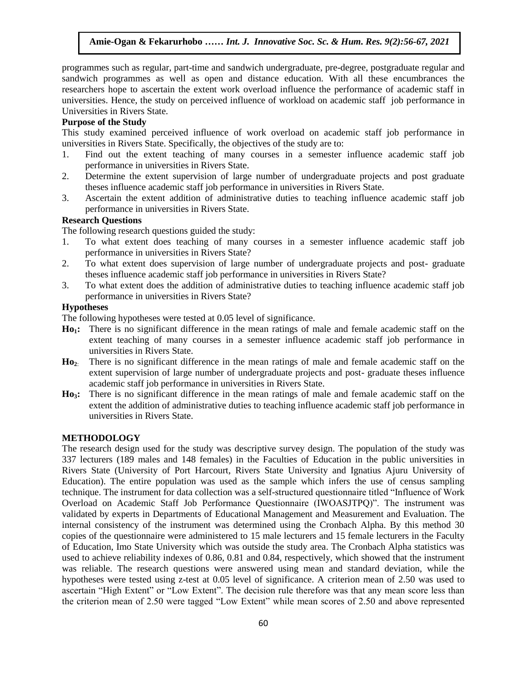programmes such as regular, part-time and sandwich undergraduate, pre-degree, postgraduate regular and sandwich programmes as well as open and distance education. With all these encumbrances the researchers hope to ascertain the extent work overload influence the performance of academic staff in universities. Hence, the study on perceived influence of workload on academic staff job performance in Universities in Rivers State.

#### **Purpose of the Study**

This study examined perceived influence of work overload on academic staff job performance in universities in Rivers State. Specifically, the objectives of the study are to:

- 1. Find out the extent teaching of many courses in a semester influence academic staff job performance in universities in Rivers State.
- 2. Determine the extent supervision of large number of undergraduate projects and post graduate theses influence academic staff job performance in universities in Rivers State.
- 3. Ascertain the extent addition of administrative duties to teaching influence academic staff job performance in universities in Rivers State.

# **Research Questions**

The following research questions guided the study:

- 1. To what extent does teaching of many courses in a semester influence academic staff job performance in universities in Rivers State?
- 2. To what extent does supervision of large number of undergraduate projects and post-graduate theses influence academic staff job performance in universities in Rivers State?
- 3. To what extent does the addition of administrative duties to teaching influence academic staff job performance in universities in Rivers State?  $\mathbf{h}$  innovative Soc. Sc.  $\mathbf{h}$

#### **Hypotheses**

The following hypotheses were tested at 0.05 level of significance.

- **Ho1:** There is no significant difference in the mean ratings of male and female academic staff on the extent teaching of many courses in a semester influence academic staff job performance in universities in Rivers State.
- **Ho2**: There is no significant difference in the mean ratings of male and female academic staff on the extent supervision of large number of undergraduate projects and post- graduate theses influence academic staff job performance in universities in Rivers State.
- **Ho3:** There is no significant difference in the mean ratings of male and female academic staff on the extent the addition of administrative duties to teaching influence academic staff job performance in universities in Rivers State.

#### **METHODOLOGY**

The research design used for the study was descriptive survey design. The population of the study was 337 lecturers (189 males and 148 females) in the Faculties of Education in the public universities in Rivers State (University of Port Harcourt, Rivers State University and Ignatius Ajuru University of Education). The entire population was used as the sample which infers the use of census sampling technique. The instrument for data collection was a self-structured questionnaire titled "Influence of Work Overload on Academic Staff Job Performance Questionnaire (IWOASJTPQ)". The instrument was validated by experts in Departments of Educational Management and Measurement and Evaluation. The internal consistency of the instrument was determined using the Cronbach Alpha. By this method 30 copies of the questionnaire were administered to 15 male lecturers and 15 female lecturers in the Faculty of Education, Imo State University which was outside the study area. The Cronbach Alpha statistics was used to achieve reliability indexes of 0.86, 0.81 and 0.84, respectively, which showed that the instrument was reliable. The research questions were answered using mean and standard deviation, while the hypotheses were tested using z-test at 0.05 level of significance. A criterion mean of 2.50 was used to ascertain "High Extent" or "Low Extent". The decision rule therefore was that any mean score less than the criterion mean of 2.50 were tagged "Low Extent" while mean scores of 2.50 and above represented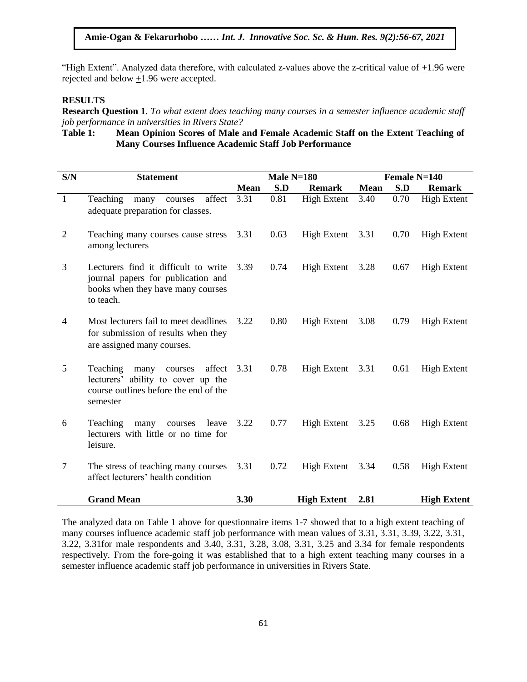"High Extent". Analyzed data therefore, with calculated z-values above the z-critical value of +1.96 were rejected and below  $\pm 1.96$  were accepted.

#### **RESULTS**

**Research Question 1**. *To what extent does teaching many courses in a semester influence academic staff job performance in universities in Rivers State?* 

**Table 1: Mean Opinion Scores of Male and Female Academic Staff on the Extent Teaching of Many Courses Influence Academic Staff Job Performance**

|                |                                                                                                                                  |             |              |                    | Female N=140 |      |                    |  |
|----------------|----------------------------------------------------------------------------------------------------------------------------------|-------------|--------------|--------------------|--------------|------|--------------------|--|
| S/N            | <b>Statement</b>                                                                                                                 |             | Male $N=180$ |                    |              |      |                    |  |
|                |                                                                                                                                  | <b>Mean</b> | S.D          | <b>Remark</b>      | <b>Mean</b>  | S.D  | <b>Remark</b>      |  |
| $\overline{1}$ | Teaching<br>affect<br>many<br>courses<br>adequate preparation for classes.                                                       | 3.31        | 0.81         | <b>High Extent</b> | 3.40         | 0.70 | <b>High Extent</b> |  |
| 2              | Teaching many courses cause stress<br>among lecturers                                                                            | 3.31        | 0.63         | High Extent 3.31   |              | 0.70 | <b>High Extent</b> |  |
| 3              | Lecturers find it difficult to write<br>journal papers for publication and<br>books when they have many courses<br>to teach.     | 3.39        | 0.74         | High Extent 3.28   |              | 0.67 | <b>High Extent</b> |  |
| $\overline{4}$ | Most lecturers fail to meet deadlines<br>for submission of results when they<br>are assigned many courses.                       | 3.22        | 0.80         | High Extent 3.08   |              | 0.79 | <b>High Extent</b> |  |
| 5              | affect<br>Teaching<br>many<br>courses<br>lecturers' ability to cover up the<br>course outlines before the end of the<br>semester | 3.31        | 0.78         | High Extent        | 3.31         | 0.61 | <b>High Extent</b> |  |
| 6              | Teaching<br>many<br>leave<br>courses<br>lecturers with little or no time for<br>leisure.                                         | 3.22        | 0.77         | High Extent        | 3.25         | 0.68 | <b>High Extent</b> |  |
| $\tau$         | The stress of teaching many courses<br>affect lecturers' health condition                                                        | 3.31        | 0.72         | High Extent 3.34   |              | 0.58 | High Extent        |  |
|                | <b>Grand Mean</b>                                                                                                                | 3.30        |              | <b>High Extent</b> | 2.81         |      | <b>High Extent</b> |  |

The analyzed data on Table 1 above for questionnaire items 1-7 showed that to a high extent teaching of many courses influence academic staff job performance with mean values of 3.31, 3.31, 3.39, 3.22, 3.31, 3.22, 3.31for male respondents and 3.40, 3.31, 3.28, 3.08, 3.31, 3.25 and 3.34 for female respondents respectively. From the fore-going it was established that to a high extent teaching many courses in a semester influence academic staff job performance in universities in Rivers State.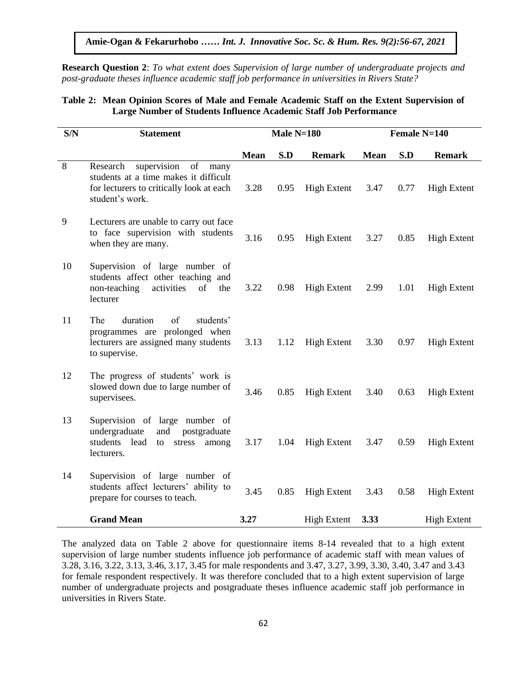**Research Question 2**: *To what extent does Supervision of large number of undergraduate projects and post-graduate theses influence academic staff job performance in universities in Rivers State?*  $\alpha$  and  $\alpha$  is the set of  $\alpha$  interest and  $\alpha$  is  $\alpha$ .  $\beta$  is  $\beta$  is  $\beta$  is  $\beta$  is the set of  $\alpha$  interesting to

# **Table 2: Mean Opinion Scores of Male and Female Academic Staff on the Extent Supervision of Large Number of Students Influence Academic Staff Job Performance**

| S/N | <b>Statement</b>                                                                                                                              |             | Male $N=180$ |                    | Female $N=140$ |      |                    |  |
|-----|-----------------------------------------------------------------------------------------------------------------------------------------------|-------------|--------------|--------------------|----------------|------|--------------------|--|
|     |                                                                                                                                               | <b>Mean</b> | S.D          | <b>Remark</b>      | <b>Mean</b>    | S.D  | <b>Remark</b>      |  |
| 8   | supervision<br>Research<br>of<br>many<br>students at a time makes it difficult<br>for lecturers to critically look at each<br>student's work. | 3.28        | 0.95         | <b>High Extent</b> | 3.47           | 0.77 | <b>High Extent</b> |  |
| 9   | Lecturers are unable to carry out face<br>to face supervision with students<br>when they are many.                                            | 3.16        | 0.95         | <b>High Extent</b> | 3.27           | 0.85 | <b>High Extent</b> |  |
| 10  | Supervision of large number of<br>students affect other teaching and<br>non-teaching<br>activities<br>of<br>the<br>lecturer                   | 3.22        | 0.98         | <b>High Extent</b> | 2.99           | 1.01 | <b>High Extent</b> |  |
| 11  | The<br>duration<br>of<br>students'<br>programmes are prolonged when<br>lecturers are assigned many students<br>to supervise.                  | 3.13        | 1.12         | <b>High Extent</b> | 3.30           | 0.97 | <b>High Extent</b> |  |
| 12  | The progress of students' work is<br>slowed down due to large number of<br>supervisees.                                                       | 3.46        | 0.85         | <b>High Extent</b> | 3.40           | 0.63 | <b>High Extent</b> |  |
| 13  | Supervision of large number of<br>undergraduate<br>postgraduate<br>and<br>students lead<br>stress<br>among<br>to<br>lecturers.                | 3.17        | 1.04         | <b>High Extent</b> | 3.47           | 0.59 | <b>High Extent</b> |  |
| 14  | Supervision of large number of<br>students affect lecturers' ability to<br>prepare for courses to teach.                                      | 3.45        | 0.85         | <b>High Extent</b> | 3.43           | 0.58 | <b>High Extent</b> |  |
|     | <b>Grand Mean</b>                                                                                                                             | 3.27        |              | <b>High Extent</b> | 3.33           |      | <b>High Extent</b> |  |

The analyzed data on Table 2 above for questionnaire items 8-14 revealed that to a high extent supervision of large number students influence job performance of academic staff with mean values of 3.28, 3.16, 3.22, 3.13, 3.46, 3.17, 3.45 for male respondents and 3.47, 3.27, 3.99, 3.30, 3.40, 3.47 and 3.43 for female respondent respectively. It was therefore concluded that to a high extent supervision of large number of undergraduate projects and postgraduate theses influence academic staff job performance in universities in Rivers State.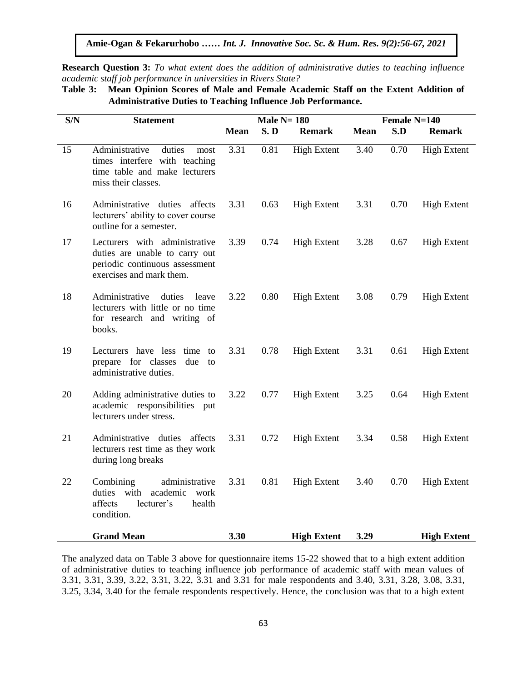**Amie-Ogan & Fekarurhobo** *…… Int. J. Innovative Soc. Sc. & Hum. Res. 9(2):56-67, 2021*

**Research Question 3:** *To what extent does the addition of administrative duties to teaching influence academic staff job performance in universities in Rivers State?*

| Table 3: Mean Opinion Scores of Male and Female Academic Staff on the Extent Addition of |
|------------------------------------------------------------------------------------------|
| <b>Administrative Duties to Teaching Influence Job Performance.</b>                      |

| S/N | <b>Statement</b>                                                                                                              |             | Male $N=180$ |                    |             | Female N=140 |                    |  |  |
|-----|-------------------------------------------------------------------------------------------------------------------------------|-------------|--------------|--------------------|-------------|--------------|--------------------|--|--|
|     |                                                                                                                               | <b>Mean</b> | S.D          | <b>Remark</b>      | <b>Mean</b> | S.D          | <b>Remark</b>      |  |  |
| 15  | Administrative<br>duties<br>most<br>times interfere with teaching<br>time table and make lecturers<br>miss their classes.     | 3.31        | 0.81         | <b>High Extent</b> | 3.40        | 0.70         | <b>High Extent</b> |  |  |
| 16  | Administrative duties affects<br>lecturers' ability to cover course<br>outline for a semester.                                | 3.31        | 0.63         | <b>High Extent</b> | 3.31        | 0.70         | <b>High Extent</b> |  |  |
| 17  | Lecturers with administrative<br>duties are unable to carry out<br>periodic continuous assessment<br>exercises and mark them. | 3.39        | 0.74         | <b>High Extent</b> | 3.28        | 0.67         | <b>High Extent</b> |  |  |
| 18  | Administrative<br>duties<br>leave<br>lecturers with little or no time<br>for research and writing of<br>books.                | 3.22        | 0.80         | <b>High Extent</b> | 3.08        | 0.79         | <b>High Extent</b> |  |  |
| 19  | Lecturers have less time to<br>prepare for classes<br>due<br>to<br>administrative duties.                                     | 3.31        | 0.78         | <b>High Extent</b> | 3.31        | 0.61         | <b>High Extent</b> |  |  |
| 20  | Adding administrative duties to<br>academic responsibilities put<br>lecturers under stress.                                   | 3.22        | 0.77         | <b>High Extent</b> | 3.25        | 0.64         | <b>High Extent</b> |  |  |
| 21  | Administrative duties affects<br>lecturers rest time as they work<br>during long breaks                                       | 3.31        | 0.72         | <b>High Extent</b> | 3.34        | 0.58         | <b>High Extent</b> |  |  |
| 22  | Combining<br>administrative<br>duties with<br>academic<br>work<br>affects<br>lecturer's<br>health<br>condition.               | 3.31        | 0.81         | <b>High Extent</b> | 3.40        | 0.70         | <b>High Extent</b> |  |  |
|     | <b>Grand Mean</b>                                                                                                             | 3.30        |              | <b>High Extent</b> | 3.29        |              | <b>High Extent</b> |  |  |

The analyzed data on Table 3 above for questionnaire items 15-22 showed that to a high extent addition of administrative duties to teaching influence job performance of academic staff with mean values of 3.31, 3.31, 3.39, 3.22, 3.31, 3.22, 3.31 and 3.31 for male respondents and 3.40, 3.31, 3.28, 3.08, 3.31, 3.25, 3.34, 3.40 for the female respondents respectively. Hence, the conclusion was that to a high extent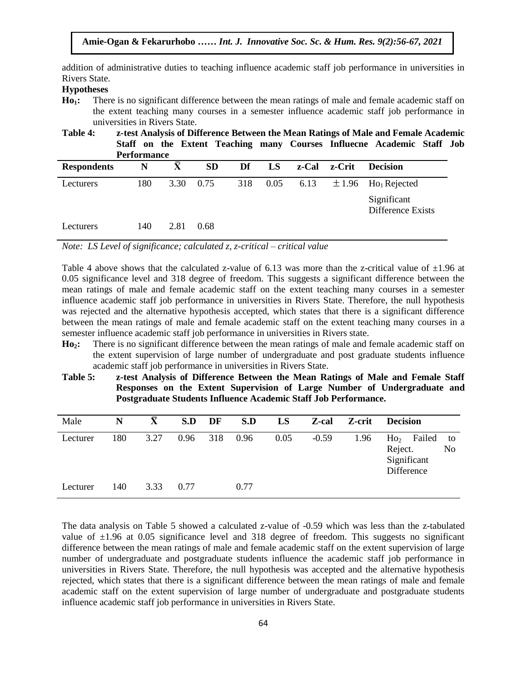addition of administrative duties to teaching influence academic staff job performance in universities in Rivers State.  $A$ <sup>t</sup>  $\alpha$  is solved.

## **Hypotheses**

**Ho1:** There is no significant difference between the mean ratings of male and female academic staff on the extent teaching many courses in a semester influence academic staff job performance in universities in Rivers State.

**Table 4:** *z*-test Analysis of Difference Between the Mean Ratings of Male and Female Academic **Staff on the Extent Teaching many Courses Influecne Academic Staff Job Performance**

| <b>Respondents</b> | N   | $\bar{X}$ | <b>SD</b> | Df | LS       |      | z-Cal z-Crit | <b>Decision</b>                     |
|--------------------|-----|-----------|-----------|----|----------|------|--------------|-------------------------------------|
| Lecturers          | 180 | 3.30      | 0.75      |    | 318 0.05 | 6.13 |              | $\pm 1.96$ Ho <sub>1</sub> Rejected |
|                    |     |           |           |    |          |      |              | Significant<br>Difference Exists    |
| Lecturers          | 140 | 2.81      | 0.68      |    |          |      |              |                                     |

*Note: LS Level of significance; calculated z, z-critical – critical value* 

Table 4 above shows that the calculated z-value of 6.13 was more than the z-critical value of  $\pm 1.96$  at 0.05 significance level and 318 degree of freedom. This suggests a significant difference between the mean ratings of male and female academic staff on the extent teaching many courses in a semester influence academic staff job performance in universities in Rivers State. Therefore, the null hypothesis is was rejected and the alternative hypothesis accepted, which states that there is a significant difference between the mean ratings of male and female academic staff on the extent teaching many courses in a semester influence academic staff job performance in universities in Rivers state.  $\overline{A}$ 

- **Ho<sub>2</sub>:** There is no significant difference between the mean ratings of male and female academic staff on the extent supervision of large number of undergraduate and post graduate students influence academic staff job performance in universities in Rivers State.
- **Table 5: z-test Analysis of Difference Between the Mean Ratings of Male and Female Staff Responses on the Extent Supervision of Large Number of Undergraduate and Postgraduate Students Influence Academic Staff Job Performance.**

| Male     | N   | $\bar{\mathbf{X}}$ | S.D  | DF  | S.D  | LS   | Z-cal   | Z-crit | <b>Decision</b>                                                   |          |
|----------|-----|--------------------|------|-----|------|------|---------|--------|-------------------------------------------------------------------|----------|
| Lecturer | 180 | 3.27               | 0.96 | 318 | 0.96 | 0.05 | $-0.59$ | 1.96   | Failed<br>Ho <sub>2</sub><br>Reject.<br>Significant<br>Difference | to<br>No |
| Lecturer | 140 | 3.33               | 0.77 |     | 0.77 |      |         |        |                                                                   |          |

The data analysis on Table 5 showed a calculated z-value of -0.59 which was less than the z-tabulated value of  $\pm 1.96$  at 0.05 significance level and 318 degree of freedom. This suggests no significant difference between the mean ratings of male and female academic staff on the extent supervision of large number of undergraduate and postgraduate students influence the academic staff job performance in universities in Rivers State. Therefore, the null hypothesis was accepted and the alternative hypothesis rejected, which states that there is a significant difference between the mean ratings of male and female academic staff on the extent supervision of large number of undergraduate and postgraduate students influence academic staff job performance in universities in Rivers State.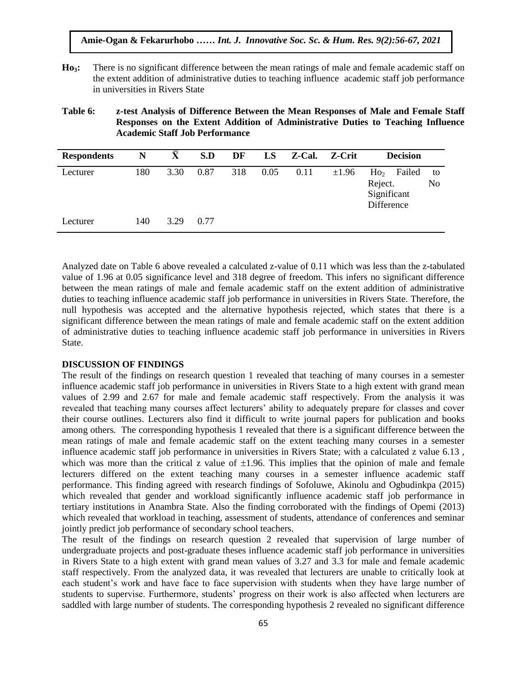- **Ho3:** There is no significant difference between the mean ratings of male and female academic staff on the extent addition of administrative duties to teaching influence academic staff job performance<br>in universities in Piyers State in universities in Rivers State
- **Table 6: z-test Analysis of Difference Between the Mean Responses of Male and Female Staff Responses on the Extent Addition of Administrative Duties to Teaching Influence Academic Staff Job Performance**

| <b>Respondents</b> | N   | $\bar{\mathbf{X}}$ | S.D  | DF  | LS   | Z-Cal. | Z-Crit     | <b>Decision</b>                                                   |          |
|--------------------|-----|--------------------|------|-----|------|--------|------------|-------------------------------------------------------------------|----------|
| Lecturer           | 180 | 3.30               | 0.87 | 318 | 0.05 | 0.11   | $\pm 1.96$ | Ho <sub>2</sub><br>Failed<br>Reject.<br>Significant<br>Difference | to<br>No |
| Lecturer           | 140 | 3.29               | 0.77 |     |      |        |            |                                                                   |          |

Analyzed date on Table 6 above revealed a calculated z-value of 0.11 which was less than the z-tabulated value of 1.96 at 0.05 significance level and 318 degree of freedom. This infers no significant difference between the mean ratings of male and female academic staff on the extent addition of administrative duties to teaching influence academic staff job performance in universities in Rivers State. Therefore, the null hypothesis was accepted and the alternative hypothesis rejected, which states that there is a significant difference between the mean ratings of male and female academic staff on the extent addition of administrative duties to teaching influence academic staff job performance in universities in Rivers State.  $\frac{1}{1}$ ,  $\frac{1}{1}$ ,  $\frac{1}{1}$ ,  $\frac{1}{1}$ ,  $\frac{1}{1}$ ,  $\frac{1}{1}$ ,  $\frac{1}{1}$ ,  $\frac{1}{1}$ ,  $\frac{1}{1}$ ,  $\frac{1}{1}$ ,  $\frac{1}{1}$ ,  $\frac{1}{1}$ ,  $\frac{1}{1}$ ,  $\frac{1}{1}$ ,  $\frac{1}{1}$ ,  $\frac{1}{1}$ ,  $\frac{1}{1}$ ,  $\frac{1}{1}$ ,  $\frac{1}{1}$ ,  $\frac{1}{1}$ ,  $\mathbf{c}$ .

## **DISCUSSION OF FINDINGS**

The result of the findings on research question 1 revealed that teaching of many courses in a semester influence academic staff job performance in universities in Rivers State to a high extent with grand mean values of 2.99 and 2.67 for male and female academic staff respectively. From the analysis it was revealed that teaching many courses affect lecturers' ability to adequately prepare for classes and cover their course outlines. Lecturers also find it difficult to write journal papers for publication and books among others. The corresponding hypothesis 1 revealed that there is a significant difference between the mean ratings of male and female academic staff on the extent teaching many courses in a semester influence academic staff job performance in universities in Rivers State; with a calculated z value 6.13 , which was more than the critical z value of  $\pm 1.96$ . This implies that the opinion of male and female lecturers differed on the extent teaching many courses in a semester influence academic staff performance. This finding agreed with research findings of Sofoluwe, Akinolu and Ogbudinkpa (2015) which revealed that gender and workload significantly influence academic staff job performance in tertiary institutions in Anambra State. Also the finding corroborated with the findings of Opemi (2013) which revealed that workload in teaching, assessment of students, attendance of conferences and seminar jointly predict job performance of secondary school teachers.

The result of the findings on research question 2 revealed that supervision of large number of undergraduate projects and post-graduate theses influence academic staff job performance in universities in Rivers State to a high extent with grand mean values of 3.27 and 3.3 for male and female academic staff respectively. From the analyzed data, it was revealed that lecturers are unable to critically look at each student's work and have face to face supervision with students when they have large number of students to supervise. Furthermore, students' progress on their work is also affected when lecturers are saddled with large number of students. The corresponding hypothesis 2 revealed no significant difference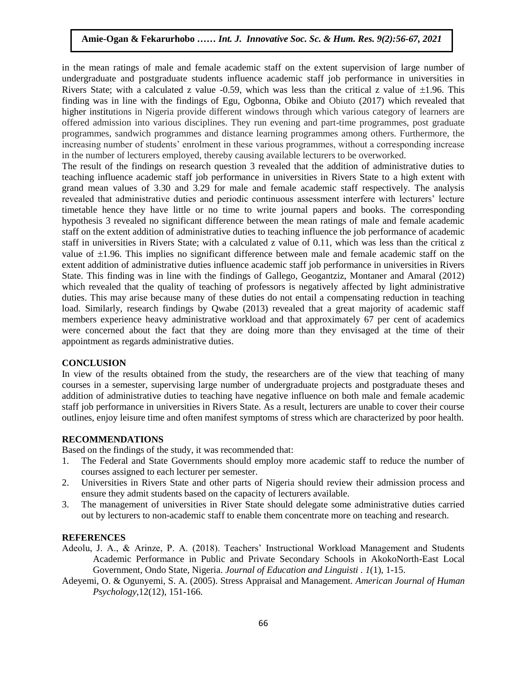in the mean ratings of male and female academic staff on the extent supervision of large number of undergraduate and postgraduate students influence academic staff job performance in universities in Rivers State; with a calculated z value -0.59, which was less than the critical z value of  $\pm 1.96$ . This finding was in line with the findings of Egu, Ogbonna, Obike and Obiuto (2017) which revealed that higher institutions in Nigeria provide different windows through which various category of learners are offered admission into various disciplines. They run evening and part-time programmes, post graduate programmes, sandwich programmes and distance learning programmes among others. Furthermore, the increasing number of students' enrolment in these various programmes, without a corresponding increase in the number of lecturers employed, thereby causing available lecturers to be overworked.

The result of the findings on research question 3 revealed that the addition of administrative duties to teaching influence academic staff job performance in universities in Rivers State to a high extent with grand mean values of 3.30 and 3.29 for male and female academic staff respectively. The analysis revealed that administrative duties and periodic continuous assessment interfere with lecturers' lecture timetable hence they have little or no time to write journal papers and books. The corresponding hypothesis 3 revealed no significant difference between the mean ratings of male and female academic staff on the extent addition of administrative duties to teaching influence the job performance of academic staff in universities in Rivers State; with a calculated z value of 0.11, which was less than the critical z value of  $\pm 1.96$ . This implies no significant difference between male and female academic staff on the extent addition of administrative duties influence academic staff job performance in universities in Rivers State. This finding was in line with the findings of Gallego, Geogantziz, Montaner and Amaral (2012) which revealed that the quality of teaching of professors is negatively affected by light administrative duties. This may arise because many of these duties do not entail a compensating reduction in teaching load. Similarly, research findings by Qwabe (2013) revealed that a great majority of academic staff members experience heavy administrative workload and that approximately 67 per cent of academics were concerned about the fact that they are doing more than they envisaged at the time of their appointment as regards administrative duties.

#### **CONCLUSION**

In view of the results obtained from the study, the researchers are of the view that teaching of many courses in a semester, supervising large number of undergraduate projects and postgraduate theses and addition of administrative duties to teaching have negative influence on both male and female academic staff job performance in universities in Rivers State. As a result, lecturers are unable to cover their course outlines, enjoy leisure time and often manifest symptoms of stress which are characterized by poor health.

#### **RECOMMENDATIONS**

Based on the findings of the study, it was recommended that:

- 1. The Federal and State Governments should employ more academic staff to reduce the number of courses assigned to each lecturer per semester.
- 2. Universities in Rivers State and other parts of Nigeria should review their admission process and ensure they admit students based on the capacity of lecturers available.
- 3. The management of universities in River State should delegate some administrative duties carried out by lecturers to non-academic staff to enable them concentrate more on teaching and research.

#### **REFERENCES**

- Adeolu, J. A., & Arinze, P. A. (2018). Teachers' Instructional Workload Management and Students Academic Performance in Public and Private Secondary Schools in AkokoNorth-East Local Government, Ondo State, Nigeria. *Journal of Education and Linguisti . 1*(1), 1-15.
- Adeyemi, O. & Ogunyemi, S. A. (2005). Stress Appraisal and Management. *American Journal of Human Psychology,*12(12), 151-166.